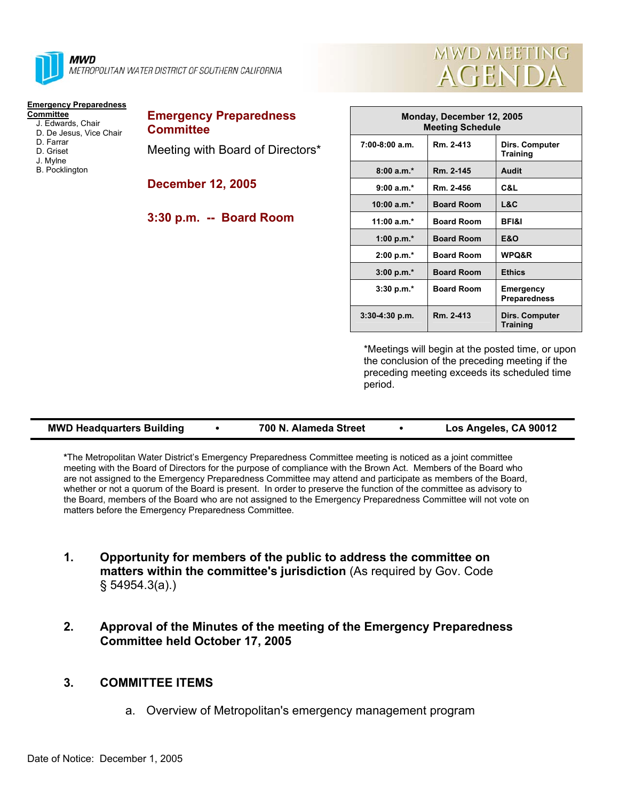

**MWD** METROPOLITAN WATER DISTRICT OF SOUTHERN CALIFORNIA

# **Emergency Preparedness**

- **Committee** J. Edwards, Chair
	- D. De Jesus, Vice Chair
	- D. Farrar
	- D. Griset
	- J. Mylne
	- B. Pocklington

**Emergency Preparedness Committee**  Meeting with Board of Directors\*

**December 12, 2005** 

### **3:30 p.m. -- Board Room**



| Monday, December 12, 2005<br><b>Meeting Schedule</b> |                   |                                   |  |  |  |
|------------------------------------------------------|-------------------|-----------------------------------|--|--|--|
| $7:00-8:00$ a.m.                                     | Rm. 2-413         | Dirs. Computer<br><b>Training</b> |  |  |  |
| $8:00a.m.*$                                          | Rm. 2-145         | Audit                             |  |  |  |
| $9:00 a.m.*$                                         | Rm. 2-456         | C&L                               |  |  |  |
| $10:00 a.m.*$                                        | <b>Board Room</b> | L&C                               |  |  |  |
| $11:00 a.m.*$                                        | <b>Board Room</b> | <b>BFI&amp;I</b>                  |  |  |  |
| 1:00 p.m. $*$                                        | <b>Board Room</b> | E&O                               |  |  |  |
| $2:00 p.m.*$                                         | <b>Board Room</b> | WPQ&R                             |  |  |  |
| $3:00 p.m.*$                                         | <b>Board Room</b> | <b>Ethics</b>                     |  |  |  |
| $3:30 p.m.*$                                         | <b>Board Room</b> | Emergency<br><b>Preparedness</b>  |  |  |  |
| $3:30-4:30$ p.m.                                     | Rm. 2-413         | Dirs. Computer<br><b>Training</b> |  |  |  |

\*Meetings will begin at the posted time, or upon the conclusion of the preceding meeting if the preceding meeting exceeds its scheduled time period.

|  | <b>MWD Headquarters Building</b> |  | 700 N. Alameda Street |  | Los Angeles, CA 90012 |
|--|----------------------------------|--|-----------------------|--|-----------------------|
|--|----------------------------------|--|-----------------------|--|-----------------------|

**\***The Metropolitan Water District's Emergency Preparedness Committee meeting is noticed as a joint committee meeting with the Board of Directors for the purpose of compliance with the Brown Act. Members of the Board who are not assigned to the Emergency Preparedness Committee may attend and participate as members of the Board, whether or not a quorum of the Board is present. In order to preserve the function of the committee as advisory to the Board, members of the Board who are not assigned to the Emergency Preparedness Committee will not vote on matters before the Emergency Preparedness Committee.

- **1. Opportunity for members of the public to address the committee on matters within the committee's jurisdiction** (As required by Gov. Code § 54954.3(a).)
- **2. Approval of the Minutes of the meeting of the Emergency Preparedness Committee held October 17, 2005**

## **3. COMMITTEE ITEMS**

a. Overview of Metropolitan's emergency management program